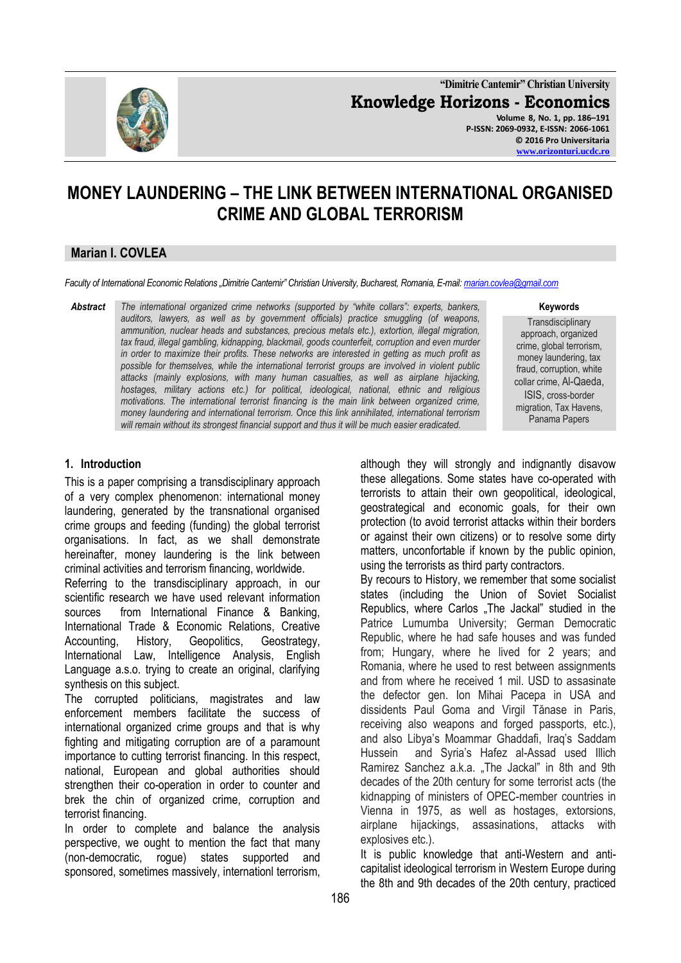

**"Dimitrie Cantemir" Christian University Knowledge Horizons - Economics Volume 8, No. 1, pp. 186–191 P-ISSN: 2069-0932, E-ISSN: 2066-1061 © 2016 Pro Universitaria [www.orizonturi.ucdc.ro](http://www.orizonturi.ucdc.ro/)**

**MONEY LAUNDERING – THE LINK BETWEEN INTERNATIONAL ORGANISED CRIME AND GLOBAL TERRORISM**

# **Marian I. COVLEA**

*Faculty of International Economic Relations "Dimitrie Cantemir" Christian University, Bucharest, Romania, E-mail[: marian.covlea@gmail.com](mailto:marian.covlea@gmail.com)*

*Abstract The international organized crime networks (supported by "white collars": experts, bankers, auditors, lawyers, as well as by government officials) practice smuggling (of weapons, ammunition, nuclear heads and substances, precious metals etc.), extortion, illegal migration, tax fraud, illegal gambling, kidnapping, blackmail, goods counterfeit, corruption and even murder in order to maximize their profits. These networks are interested in getting as much profit as possible for themselves, while the international terrorist groups are involved in violent public attacks (mainly explosions, with many human casualties, as well as airplane hijacking, hostages, military actions etc.) for political, ideological, national, ethnic and religious motivations. The international terrorist financing is the main link between organized crime, money laundering and international terrorism. Once this link annihilated, international terrorism will remain without its strongest financial support and thus it will be much easier eradicated.*

#### **Keywords**

**Transdisciplinary** approach, organized crime, global terrorism, money laundering, tax fraud, corruption, white collar crime, Al-Qaeda, ISIS, cross-border migration, Tax Havens, Panama Papers

## **1. Introduction**

This is a paper comprising a transdisciplinary approach of a very complex phenomenon: international money laundering, generated by the transnational organised crime groups and feeding (funding) the global terrorist organisations. In fact, as we shall demonstrate hereinafter, money laundering is the link between criminal activities and terrorism financing, worldwide.

Referring to the transdisciplinary approach, in our scientific research we have used relevant information sources from International Finance & Banking, International Trade & Economic Relations, Creative Accounting, History, Geopolitics, Geostrategy, International Law, Intelligence Analysis, English Language a.s.o. trying to create an original, clarifying synthesis on this subject.

The corrupted politicians, magistrates and law enforcement members facilitate the success of international organized crime groups and that is why fighting and mitigating corruption are of a paramount importance to cutting terrorist financing. In this respect, national, European and global authorities should strengthen their co-operation in order to counter and brek the chin of organized crime, corruption and terrorist financing.

In order to complete and balance the analysis perspective, we ought to mention the fact that many (non-democratic, rogue) states supported and sponsored, sometimes massively, internationl terrorism,

although they will strongly and indignantly disavow these allegations. Some states have co-operated with terrorists to attain their own geopolitical, ideological, geostrategical and economic goals, for their own protection (to avoid terrorist attacks within their borders or against their own citizens) or to resolve some dirty matters, unconfortable if known by the public opinion, using the terrorists as third party contractors.

By recours to History, we remember that some socialist states (including the Union of Soviet Socialist Republics, where Carlos "The Jackal" studied in the Patrice Lumumba University; German Democratic Republic, where he had safe houses and was funded from; Hungary, where he lived for 2 years; and Romania, where he used to rest between assignments and from where he received 1 mil. USD to assasinate the defector gen. Ion Mihai Pacepa in USA and dissidents Paul Goma and Virgil Tănase in Paris, receiving also weapons and forged passports, etc.), and also Libya's Moammar Ghaddafi, Iraq's Saddam Hussein and Syria's Hafez al-Assad used Illich Ramirez Sanchez a.k.a. "The Jackal" in 8th and 9th decades of the 20th century for some terrorist acts (the kidnapping of ministers of OPEC-member countries in Vienna in 1975, as well as hostages, extorsions, airplane hijackings, assasinations, attacks with explosives etc.).

It is public knowledge that anti-Western and anticapitalist ideological terrorism in Western Europe during the 8th and 9th decades of the 20th century, practiced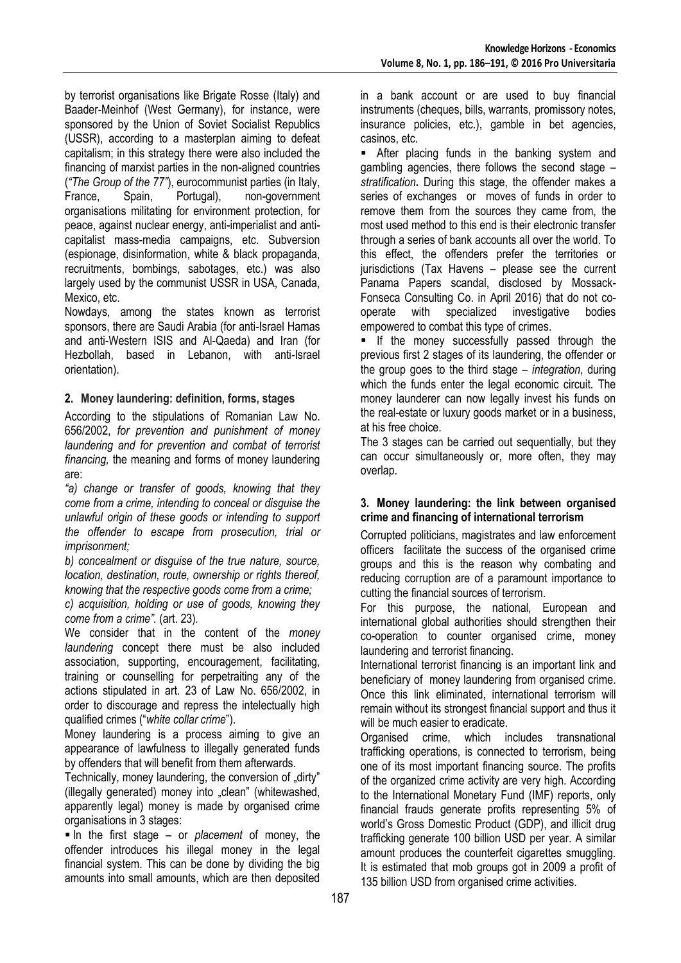by terrorist organisations like Brigate Rosse (Italy) and Baader-Meinhof (West Germany), for instance, were sponsored by the Union of Soviet Socialist Republics (USSR), according to a masterplan aiming to defeat capitalism; in this strategy there were also included the financing of marxist parties in the non-aligned countries (*"The Group of the 77"*), eurocommunist parties (in Italy, France, Spain, Portugal), non-government organisations militating for environment protection, for peace, against nuclear energy, anti-imperialist and anticapitalist mass-media campaigns, etc. Subversion (espionage, disinformation, white & black propaganda, recruitments, bombings, sabotages, etc.) was also largely used by the communist USSR in USA, Canada, Mexico, etc.

Nowdays, among the states known as terrorist sponsors, there are Saudi Arabia (for anti-Israel Hamas and anti-Western ISIS and Al-Qaeda) and Iran (for Hezbollah, based in Lebanon, with anti-Israel orientation).

# **2. Money laundering: definition, forms, stages**

According to the stipulations of Romanian Law No. 656/2002, *for prevention and punishment of money laundering and for prevention and combat of terrorist financing,* the meaning and forms of money laundering are:

*"a) change or transfer of goods, knowing that they come from a crime, intending to conceal or disguise the unlawful origin of these goods or intending to support the offender to escape from prosecution, trial or imprisonment;* 

*b) concealment or disguise of the true nature, source, location, destination, route, ownership or rights thereof, knowing that the respective goods come from a crime;* 

*c) acquisition, holding or use of goods, knowing they come from a crime".* (art. 23)*.*

We consider that in the content of the *money laundering* concept there must be also included association, supporting, encouragement, facilitating, training or counselling for perpetraiting any of the actions stipulated in art. 23 of Law No. 656/2002, in order to discourage and repress the intelectually high qualified crimes ("*white collar crime*").

Money laundering is a process aiming to give an appearance of lawfulness to illegally generated funds by offenders that will benefit from them afterwards.

Technically, money laundering, the conversion of "dirty" (illegally generated) money into "clean" (whitewashed, apparently legal) money is made by organised crime organisations in 3 stages:

 In the first stage – or *placement* of money, the offender introduces his illegal money in the legal financial system. This can be done by dividing the big amounts into small amounts, which are then deposited

in a bank account or are used to buy financial instruments (cheques, bills, warrants, promissory notes, insurance policies, etc.), gamble in bet agencies, casinos, etc.

**After placing funds in the banking system and** gambling agencies, there follows the second stage – *stratification***.** During this stage, the offender makes a series of exchanges or moves of funds in order to remove them from the sources they came from, the most used method to this end is their electronic transfer through a series of bank accounts all over the world. To this effect, the offenders prefer the territories or jurisdictions (Tax Havens – please see the current Panama Papers scandal, disclosed by Mossack-Fonseca Consulting Co. in April 2016) that do not cooperate with specialized investigative bodies empowered to combat this type of crimes.

**If the money successfully passed through the** previous first 2 stages of its laundering, the offender or the group goes to the third stage – *integration*, during which the funds enter the legal economic circuit. The money launderer can now legally invest his funds on the real-estate or luxury goods market or in a business, at his free choice.

The 3 stages can be carried out sequentially, but they can occur simultaneously or, more often, they may overlap.

### **3. Money laundering: the link between organised crime and financing of international terrorism**

Corrupted politicians, magistrates and law enforcement officers facilitate the success of the organised crime groups and this is the reason why combating and reducing corruption are of a paramount importance to cutting the financial sources of terrorism.

For this purpose, the national, European and international global authorities should strengthen their co-operation to counter organised crime, money laundering and terrorist financing.

International terrorist financing is an important link and beneficiary of money laundering from organised crime. Once this link eliminated, international terrorism will remain without its strongest financial support and thus it will be much easier to eradicate.

Organised crime, which includes transnational trafficking operations, is connected to terrorism, being one of its most important financing source. The profits of the organized crime activity are very high. According to the International Monetary Fund (IMF) reports, only financial frauds generate profits representing 5% of world's Gross Domestic Product (GDP), and illicit drug trafficking generate 100 billion USD per year. A similar amount produces the counterfeit cigarettes smuggling. It is estimated that mob groups got in 2009 a profit of 135 billion USD from organised crime activities.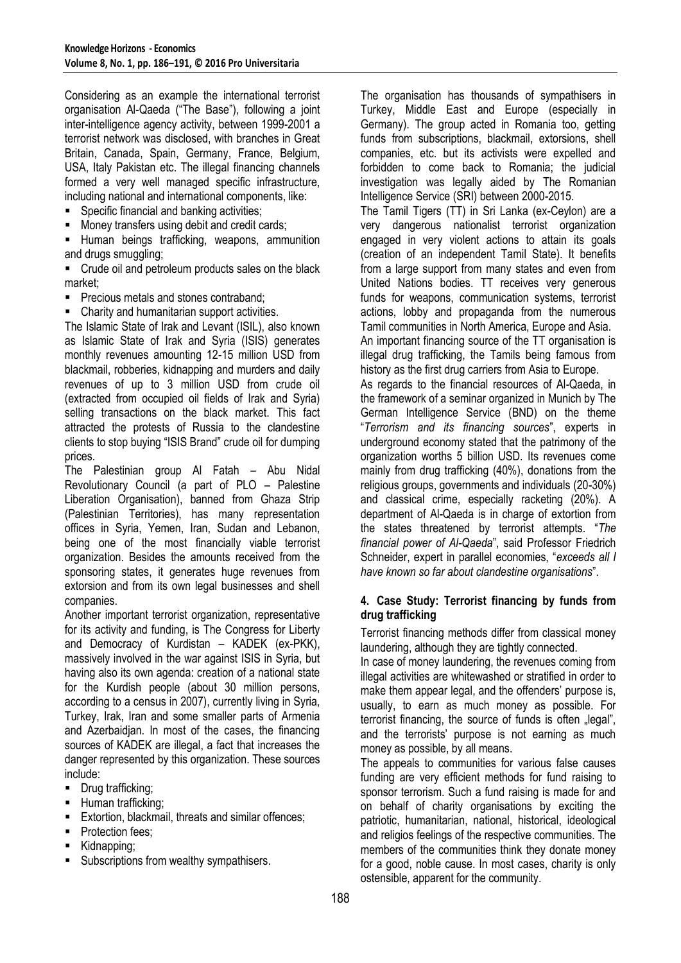Considering as an example the international terrorist organisation Al-Qaeda ("The Base"), following a joint inter-intelligence agency activity, between 1999-2001 a terrorist network was disclosed, with branches in Great Britain, Canada, Spain, Germany, France, Belgium, USA, Italy Pakistan etc. The illegal financing channels formed a very well managed specific infrastructure, including national and international components, like:

- **Specific financial and banking activities;**
- Money transfers using debit and credit cards;

**Human beings trafficking, weapons, ammunition** and drugs smuggling;

• Crude oil and petroleum products sales on the black market;

**Precious metals and stones contraband;** 

• Charity and humanitarian support activities.

The Islamic State of Irak and Levant (ISIL), also known as Islamic State of Irak and Syria (ISIS) generates monthly revenues amounting 12-15 million USD from blackmail, robberies, kidnapping and murders and daily revenues of up to 3 million USD from crude oil (extracted from occupied oil fields of Irak and Syria) selling transactions on the black market. This fact attracted the protests of Russia to the clandestine clients to stop buying "ISIS Brand" crude oil for dumping prices.

The Palestinian group Al Fatah – Abu Nidal Revolutionary Council (a part of PLO – Palestine Liberation Organisation), banned from Ghaza Strip (Palestinian Territories), has many representation offices in Syria, Yemen, Iran, Sudan and Lebanon, being one of the most financially viable terrorist organization. Besides the amounts received from the sponsoring states, it generates huge revenues from extorsion and from its own legal businesses and shell companies.

Another important terrorist organization, representative for its activity and funding, is The Congress for Liberty and Democracy of Kurdistan – KADEK (ex-PKK), massively involved in the war against ISIS in Syria, but having also its own agenda: creation of a national state for the Kurdish people (about 30 million persons, according to a census in 2007), currently living in Syria, Turkey, Irak, Iran and some smaller parts of Armenia and Azerbaidjan. In most of the cases, the financing sources of KADEK are illegal, a fact that increases the danger represented by this organization. These sources include:

- Drug trafficking;
- Human trafficking;
- **Extortion, blackmail, threats and similar offences;**
- Protection fees;
- Kidnapping;
- **Subscriptions from wealthy sympathisers.**

The organisation has thousands of sympathisers in Turkey, Middle East and Europe (especially in Germany). The group acted in Romania too, getting funds from subscriptions, blackmail, extorsions, shell companies, etc. but its activists were expelled and forbidden to come back to Romania; the judicial investigation was legally aided by The Romanian Intelligence Service (SRI) between 2000-2015.

The Tamil Tigers (TT) in Sri Lanka (ex-Ceylon) are a very dangerous nationalist terrorist organization engaged in very violent actions to attain its goals (creation of an independent Tamil State). It benefits from a large support from many states and even from United Nations bodies. TT receives very generous funds for weapons, communication systems, terrorist actions, lobby and propaganda from the numerous Tamil communities in North America, Europe and Asia. An important financing source of the TT organisation is illegal drug trafficking, the Tamils being famous from

history as the first drug carriers from Asia to Europe. As regards to the financial resources of Al-Qaeda, in the framework of a seminar organized in Munich by The German Intelligence Service (BND) on the theme "*Terrorism and its financing sources*", experts in underground economy stated that the patrimony of the organization worths 5 billion USD. Its revenues come mainly from drug trafficking (40%), donations from the religious groups, governments and individuals (20-30%) and classical crime, especially racketing (20%). A department of Al-Qaeda is in charge of extortion from the states threatened by terrorist attempts. "*The financial power of Al-Qaeda*", said Professor Friedrich Schneider, expert in parallel economies, "*exceeds all I have known so far about clandestine organisations*".

#### **4. Case Study: Terrorist financing by funds from drug trafficking**

Terrorist financing methods differ from classical money laundering, although they are tightly connected.

In case of money laundering, the revenues coming from illegal activities are whitewashed or stratified in order to make them appear legal, and the offenders' purpose is, usually, to earn as much money as possible. For terrorist financing, the source of funds is often "legal", and the terrorists' purpose is not earning as much money as possible, by all means.

The appeals to communities for various false causes funding are very efficient methods for fund raising to sponsor terrorism. Such a fund raising is made for and on behalf of charity organisations by exciting the patriotic, humanitarian, national, historical, ideological and religios feelings of the respective communities. The members of the communities think they donate money for a good, noble cause. In most cases, charity is only ostensible, apparent for the community.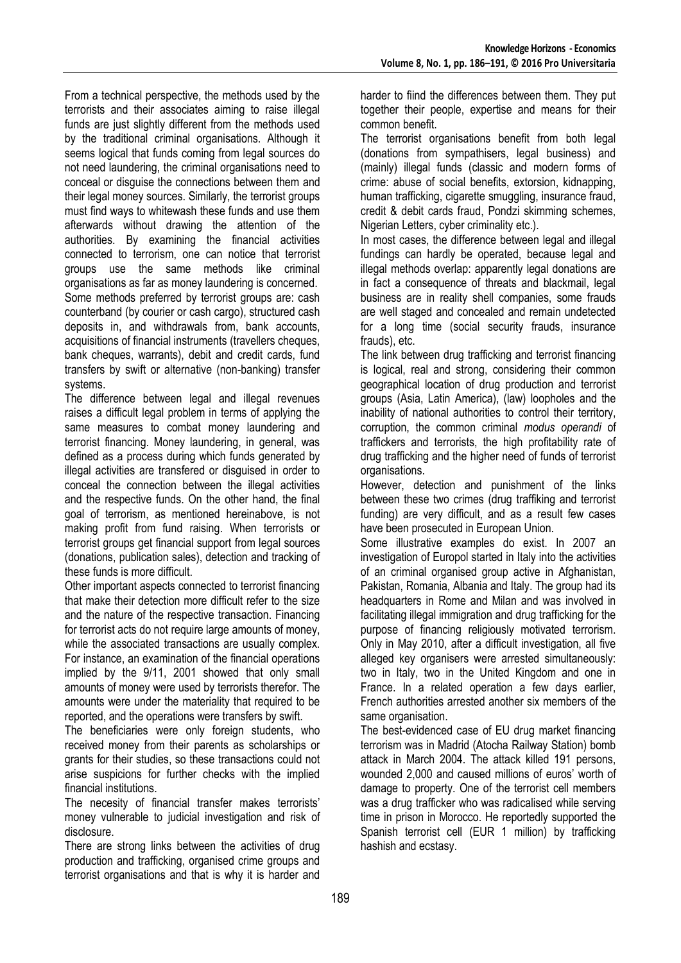From a technical perspective, the methods used by the terrorists and their associates aiming to raise illegal funds are just slightly different from the methods used by the traditional criminal organisations. Although it seems logical that funds coming from legal sources do not need laundering, the criminal organisations need to conceal or disguise the connections between them and their legal money sources. Similarly, the terrorist groups must find ways to whitewash these funds and use them afterwards without drawing the attention of the authorities. By examining the financial activities connected to terrorism, one can notice that terrorist groups use the same methods like criminal organisations as far as money laundering is concerned. Some methods preferred by terrorist groups are: cash counterband (by courier or cash cargo), structured cash deposits in, and withdrawals from, bank accounts, acquisitions of financial instruments (travellers cheques, bank cheques, warrants), debit and credit cards, fund transfers by swift or alternative (non-banking) transfer systems.

The difference between legal and illegal revenues raises a difficult legal problem in terms of applying the same measures to combat money laundering and terrorist financing. Money laundering, in general, was defined as a process during which funds generated by illegal activities are transfered or disguised in order to conceal the connection between the illegal activities and the respective funds. On the other hand, the final goal of terrorism, as mentioned hereinabove, is not making profit from fund raising. When terrorists or terrorist groups get financial support from legal sources (donations, publication sales), detection and tracking of these funds is more difficult.

Other important aspects connected to terrorist financing that make their detection more difficult refer to the size and the nature of the respective transaction. Financing for terrorist acts do not require large amounts of money, while the associated transactions are usually complex. For instance, an examination of the financial operations implied by the 9/11, 2001 showed that only small amounts of money were used by terrorists therefor. The amounts were under the materiality that required to be reported, and the operations were transfers by swift.

The beneficiaries were only foreign students, who received money from their parents as scholarships or grants for their studies, so these transactions could not arise suspicions for further checks with the implied financial institutions.

The necesity of financial transfer makes terrorists' money vulnerable to judicial investigation and risk of disclosure.

There are strong links between the activities of drug production and trafficking, organised crime groups and terrorist organisations and that is why it is harder and harder to fiind the differences between them. They put together their people, expertise and means for their common benefit.

The terrorist organisations benefit from both legal (donations from sympathisers, legal business) and (mainly) illegal funds (classic and modern forms of crime: abuse of social benefits, extorsion, kidnapping, human trafficking, cigarette smuggling, insurance fraud, credit & debit cards fraud, Pondzi skimming schemes, Nigerian Letters, cyber criminality etc.).

In most cases, the difference between legal and illegal fundings can hardly be operated, because legal and illegal methods overlap: apparently legal donations are in fact a consequence of threats and blackmail, legal business are in reality shell companies, some frauds are well staged and concealed and remain undetected for a long time (social security frauds, insurance frauds), etc.

The link between drug trafficking and terrorist financing is logical, real and strong, considering their common geographical location of drug production and terrorist groups (Asia, Latin America), (law) loopholes and the inability of national authorities to control their territory, corruption, the common criminal *modus operandi* of traffickers and terrorists, the high profitability rate of drug trafficking and the higher need of funds of terrorist organisations.

However, detection and punishment of the links between these two crimes (drug traffiking and terrorist funding) are very difficult, and as a result few cases have been prosecuted in European Union.

Some illustrative examples do exist. In 2007 an investigation of Europol started in Italy into the activities of an criminal organised group active in Afghanistan, Pakistan, Romania, Albania and Italy. The group had its headquarters in Rome and Milan and was involved in facilitating illegal immigration and drug trafficking for the purpose of financing religiously motivated terrorism. Only in May 2010, after a difficult investigation, all five alleged key organisers were arrested simultaneously: two in Italy, two in the United Kingdom and one in France. In a related operation a few days earlier, French authorities arrested another six members of the same organisation.

The best-evidenced case of EU drug market financing terrorism was in Madrid (Atocha Railway Station) bomb attack in March 2004. The attack killed 191 persons, wounded 2,000 and caused millions of euros' worth of damage to property. One of the terrorist cell members was a drug trafficker who was radicalised while serving time in prison in Morocco. He reportedly supported the Spanish terrorist cell (EUR 1 million) by trafficking hashish and ecstasy.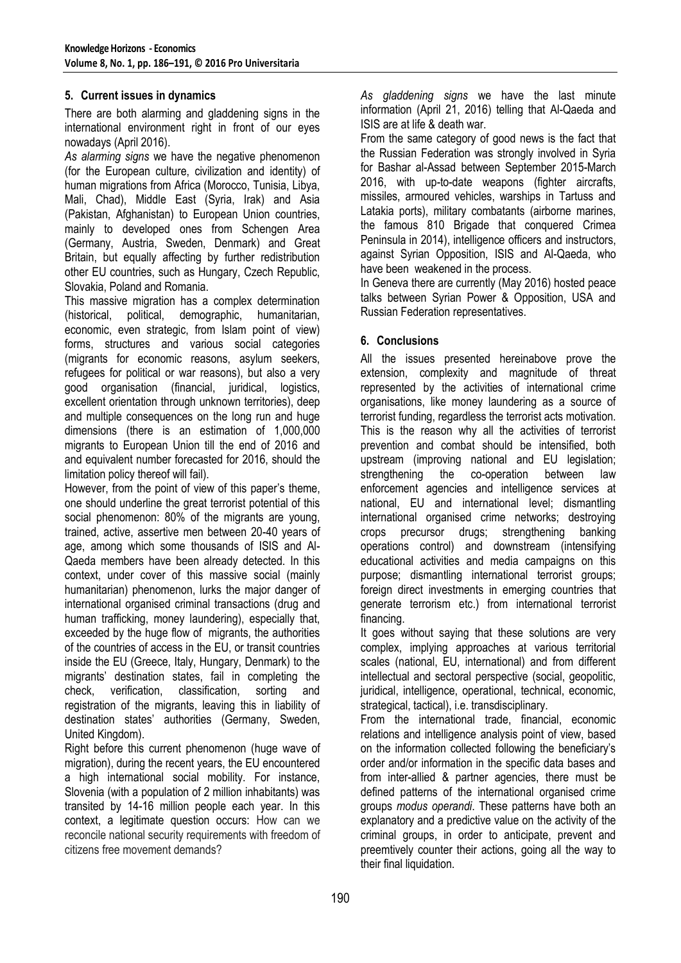# **5. Current issues in dynamics**

There are both alarming and gladdening signs in the international environment right in front of our eyes nowadays (April 2016).

*As alarming signs* we have the negative phenomenon (for the European culture, civilization and identity) of human migrations from Africa (Morocco, Tunisia, Libya, Mali, Chad), Middle East (Syria, Irak) and Asia (Pakistan, Afghanistan) to European Union countries, mainly to developed ones from Schengen Area (Germany, Austria, Sweden, Denmark) and Great Britain, but equally affecting by further redistribution other EU countries, such as Hungary, Czech Republic, Slovakia, Poland and Romania.

This massive migration has a complex determination (historical, political, demographic, humanitarian, economic, even strategic, from Islam point of view) forms, structures and various social categories (migrants for economic reasons, asylum seekers, refugees for political or war reasons), but also a very good organisation (financial, juridical, logistics, excellent orientation through unknown territories), deep and multiple consequences on the long run and huge dimensions (there is an estimation of 1,000,000 migrants to European Union till the end of 2016 and and equivalent number forecasted for 2016, should the limitation policy thereof will fail).

However, from the point of view of this paper's theme, one should underline the great terrorist potential of this social phenomenon: 80% of the migrants are young, trained, active, assertive men between 20-40 years of age, among which some thousands of ISIS and Al-Qaeda members have been already detected. In this context, under cover of this massive social (mainly humanitarian) phenomenon, lurks the major danger of international organised criminal transactions (drug and human trafficking, money laundering), especially that, exceeded by the huge flow of migrants, the authorities of the countries of access in the EU, or transit countries inside the EU (Greece, Italy, Hungary, Denmark) to the migrants' destination states, fail in completing the check, verification, classification, sorting and registration of the migrants, leaving this in liability of destination states' authorities (Germany, Sweden, United Kingdom).

Right before this current phenomenon (huge wave of migration), during the recent years, the EU encountered a high international social mobility. For instance, Slovenia (with a population of 2 million inhabitants) was transited by 14-16 million people each year. In this context, a legitimate question occurs: How can we reconcile national security requirements with freedom of citizens free movement demands?

*As gladdening signs* we have the last minute information (April 21, 2016) telling that Al-Qaeda and ISIS are at life & death war.

From the same category of good news is the fact that the Russian Federation was strongly involved in Syria for Bashar al-Assad between September 2015-March 2016, with up-to-date weapons (fighter aircrafts, missiles, armoured vehicles, warships in Tartuss and Latakia ports), military combatants (airborne marines, the famous 810 Brigade that conquered Crimea Peninsula in 2014), intelligence officers and instructors, against Syrian Opposition, ISIS and Al-Qaeda, who have been weakened in the process.

In Geneva there are currently (May 2016) hosted peace talks between Syrian Power & Opposition, USA and Russian Federation representatives.

# **6. Conclusions**

All the issues presented hereinabove prove the extension, complexity and magnitude of threat represented by the activities of international crime organisations, like money laundering as a source of terrorist funding, regardless the terrorist acts motivation. This is the reason why all the activities of terrorist prevention and combat should be intensified, both upstream (improving national and EU legislation; strengthening the co-operation between law enforcement agencies and intelligence services at national, EU and international level; dismantling international organised crime networks; destroying crops precursor drugs; strengthening banking operations control) and downstream (intensifying educational activities and media campaigns on this purpose; dismantling international terrorist groups; foreign direct investments in emerging countries that generate terrorism etc.) from international terrorist financing.

It goes without saying that these solutions are very complex, implying approaches at various territorial scales (national, EU, international) and from different intellectual and sectoral perspective (social, geopolitic, juridical, intelligence, operational, technical, economic, strategical, tactical), i.e. transdisciplinary.

From the international trade, financial, economic relations and intelligence analysis point of view, based on the information collected following the beneficiary's order and/or information in the specific data bases and from inter-allied & partner agencies, there must be defined patterns of the international organised crime groups *modus operandi*. These patterns have both an explanatory and a predictive value on the activity of the criminal groups, in order to anticipate, prevent and preemtively counter their actions, going all the way to their final liquidation.